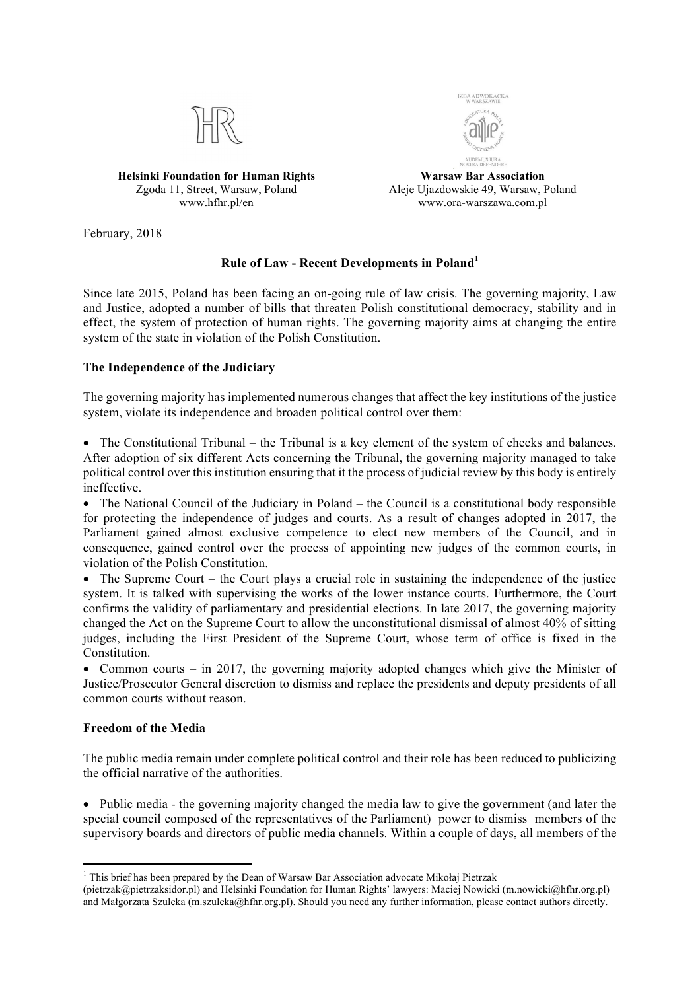

**Helsinki Foundation for Human Rights** Zgoda 11, Street, Warsaw, Poland www.hfhr.pl/en



**Warsaw Bar Association** Aleje Ujazdowskie 49, Warsaw, Poland www.ora-warszawa.com.pl

February, 2018

# **Rule of Law - Recent Developments in Poland<sup>1</sup>**

Since late 2015, Poland has been facing an on-going rule of law crisis. The governing majority, Law and Justice, adopted a number of bills that threaten Polish constitutional democracy, stability and in effect, the system of protection of human rights. The governing majority aims at changing the entire system of the state in violation of the Polish Constitution.

## **The Independence of the Judiciary**

The governing majority has implemented numerous changes that affect the key institutions of the justice system, violate its independence and broaden political control over them:

• The Constitutional Tribunal – the Tribunal is a key element of the system of checks and balances. After adoption of six different Acts concerning the Tribunal, the governing majority managed to take political control over this institution ensuring that it the process of judicial review by this body is entirely ineffective.

• The National Council of the Judiciary in Poland – the Council is a constitutional body responsible for protecting the independence of judges and courts. As a result of changes adopted in 2017, the Parliament gained almost exclusive competence to elect new members of the Council, and in consequence, gained control over the process of appointing new judges of the common courts, in violation of the Polish Constitution.

• The Supreme Court – the Court plays a crucial role in sustaining the independence of the justice system. It is talked with supervising the works of the lower instance courts. Furthermore, the Court confirms the validity of parliamentary and presidential elections. In late 2017, the governing majority changed the Act on the Supreme Court to allow the unconstitutional dismissal of almost 40% of sitting judges, including the First President of the Supreme Court, whose term of office is fixed in the Constitution.

• Common courts – in 2017, the governing majority adopted changes which give the Minister of Justice/Prosecutor General discretion to dismiss and replace the presidents and deputy presidents of all common courts without reason.

### **Freedom of the Media**

The public media remain under complete political control and their role has been reduced to publicizing the official narrative of the authorities.

• Public media - the governing majority changed the media law to give the government (and later the special council composed of the representatives of the Parliament) power to dismiss members of the supervisory boards and directors of public media channels. Within a couple of days, all members of the

<sup>&</sup>lt;sup>1</sup> This brief has been prepared by the Dean of Warsaw Bar Association advocate Mikołaj Pietrzak

<sup>(</sup>pietrzak@pietrzaksidor.pl) and Helsinki Foundation for Human Rights' lawyers: Maciej Nowicki (m.nowicki@hfhr.org.pl) and Małgorzata Szuleka (m.szuleka@hfhr.org.pl). Should you need any further information, please contact authors directly.